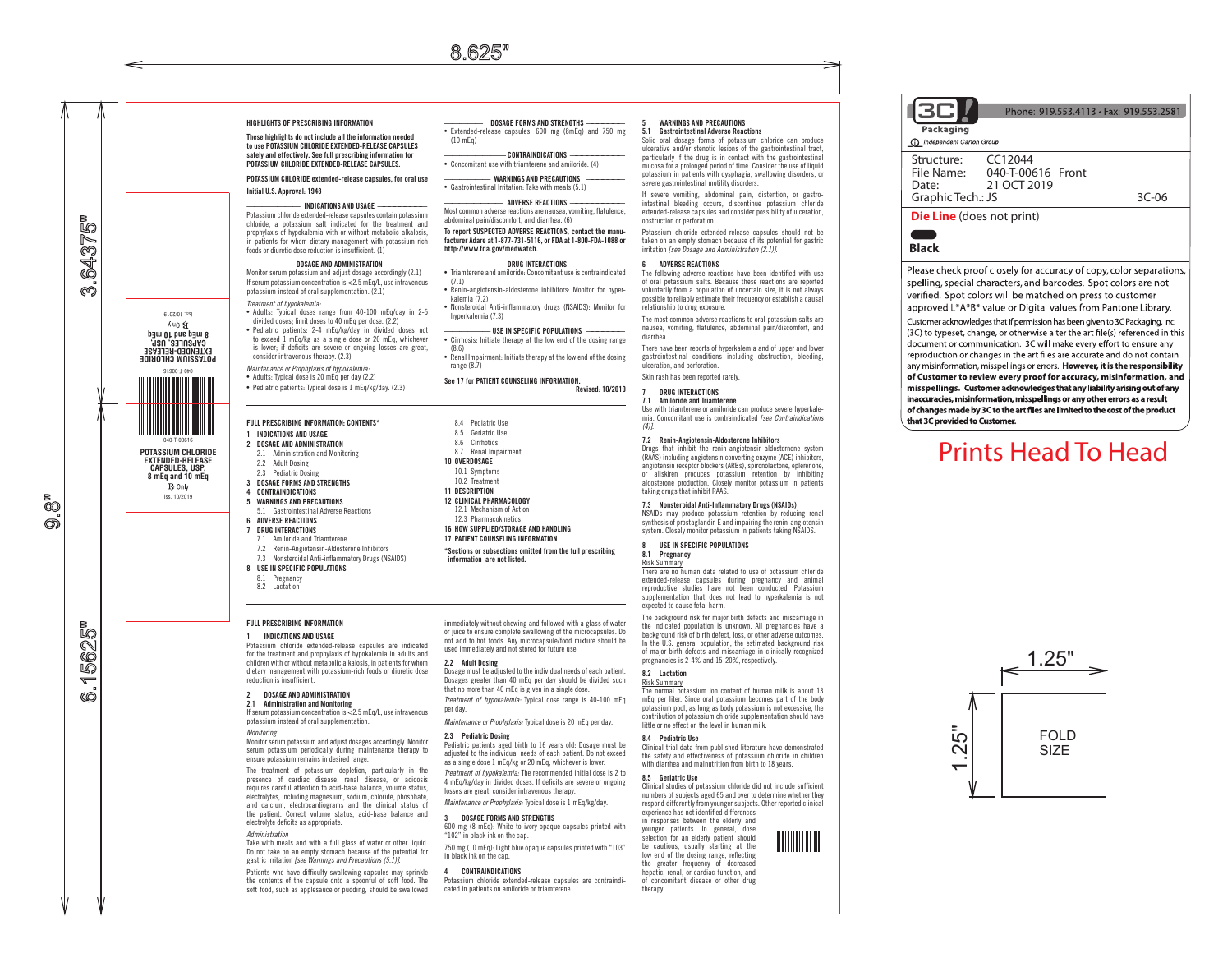(10 mEq)

(7.1)

 $(8.6)$ 

range (8.7)

kalemia (7.2)

hyperkalemia (7.3)

————— DOSAGE FORMS AND STRENGTHS ——————— • Extended-release capsules: 600 mg (8mEq) and 750 mg

———————— CONTRAINDICATIONS —————————— • Concomitant use with triamterene and amiloride. (4) WARNINGS AND PRECAUTIONS • Gastrointestinal Irritation: Take with meals (5.1)  $-$  adverse reactions Most common adverse reactions are nausea, vomiting, flatulence,

To report SUSPECTED ADVERSE REACTIONS, contact the manufacturer Adare at 1-877-731-5116, or FDA at 1-800-FDA-1088 or

———————— DRUG INTERACTIONS —————————— • Triamterene and amiloride: Concomitant use is contraindicated

• Renin-angiotensin-aldosterone inhibitors: Monitor for hyper-

• Nonsteroidal Anti-inflammatory drugs (NSAIDS): Monitor for

—————— USE IN SPECIFIC POPULATIONS ——————— • Cirrhosis: Initiate therapy at the low end of the dosing range

• Renal Impairment: Initiate therapy at the low end of the dosing

Revised: 10/2019

See 17 for PATIENT COUNSELING INFORMATION.

abdominal pain/discomfort, and diarrhea. (6)

http://www.fda.gov/medwatch.

#### HIGHLIGHTS OF PRESCRIBING INFORMATION

These highlights do not include all the information needed to use POTASSIUM CHLORIDE EXTENDED-RELEASE CAPSULES safely and effectively. See full prescribing information for POTASSIUM CHLORIDE EXTENDED-RELEASE CAPSULES.

POTASSIUM CHLORIDE extended-release capsules, for oral use Initial U.S. Approval: 1948

#### ——————— INDICATIONS AND USAGE —————————

Potassium chloride extended-release capsules contain potassium chloride, a potassium salt indicated for the treatment and prophylaxis of hypokalemia with or without metabolic alkalosis, in patients for whom dietary management with potassium-rich foods or diuretic dose reduction is insufficient. (1)

#### . DOSAGE AND ADMINISTRATION

Monitor serum potassium and adjust dosage accordingly (2.1) If serum potassium concentration is <2.5 mEq/L, use intravenous potassium instead of oral supplementation. (2.1) *Treatment of hypokalemia:*

• Adults: Typical doses range from 40-100 mEq/day in 2-5 divided doses; limit doses to 40 mEq per dose. (2.2) • Pediatric patients: 2-4 mEq/kg/day in divided doses not

to exceed 1 mEq/kg as a single dose or 20 mEq, whichever is lower; if deficits are severe or ongoing losses are great, consider intravenous therapy. (2.3) *Maintenance or Prophylaxis of hypokalemia:*

• Adults: Typical dose is 20 mEq per day (2.2) • Pediatric patients: Typical dose is 1 mEq/kg/day. (2.3)

# FULL PRESCRIBING INFORMATION: CONTENTS\*

- 1 INDICATIONS AND USAGE
- 2 DOSAGE AND ADMINISTRATION 2.1 Administration and Monitoring
- 2.2 Adult Dosing
- 
- 2.3 Pediatric Dosing
- 3 DOSAGE FORMS AND STRENGTHS

# 4 CONTRAINDICATIONS

- 5 WARNINGS AND PRECAUTIONS 5.1 Gastrointestinal Adverse Reactions
- 6 ADVERSE REACTIONS
- 7 DRUG INTERACTIONS 7.1 Amiloride and Triamterene
- 7.2 Renin-Angiotensin-Aldosterone Inhibitors
- 7.3 Nonsteroidal Anti-inflammatory Drugs (NSAIDS)
- 8 USE IN SPECIFIC POPULATIONS
- 8.1 Pregnancy 8.2 Lactation

#### FULL PRESCRIBING INFORMATION

#### 1 INDICATIONS AND USAGE

Potassium chloride extended-release capsules are indicated for the treatment and prophylaxis of hypokalemia in adults and children with or without metabolic alkalosis, in patients for whom dietary management with potassium-rich foods or diuretic dose reduction is insufficient.

## 2 DOSAGE AND ADMINISTRATION

2.1 Administration and Monitoring If serum potassium concentration is <2.5 mEq/L, use intravenous potassium instead of oral supplementation.

#### *Monitoring*

Monitor serum potassium and adjust dosages accordingly. Monitor serum potassium periodically during maintenance therapy to ensure potassium remains in desired range.

The treatment of potassium depletion, particularly in the presence of cardiac disease, renal disease, or acidosis requires careful attention to acid-base balance, volume status, electrolytes, including magnesium, sodium, chloride, phosphate, and calcium, electrocardiograms and the clinical status of the patient. Correct volume status, acid-base balance and electrolyte deficits as appropriate.

#### *Administration*

Take with meals and with a full glass of water or other liquid. Do not take on an empty stomach because of the potential for gastric irritation *[see Warnings and Precautions (5.1)]*.

Patients who have difficulty swallowing capsules may sprinkle the contents of the capsule onto a spoonful of soft food. The soft food, such as applesauce or pudding, should be swallowed

immediately without chewing and followed with a glass of water or juice to ensure complete swallowing of the microcapsules. Do

\*Sections or subsections omitted from the full prescribing

not add to hot foods. Any microcapsule/food mixture should be used immediately and not stored for future use.

#### 2.2 Adult Dosing

information are not listed.

8.4 Pediatric Use 8.5 Geriatric Use 8.6 Cirrhotics 8.7 Renal Impairment 10 OVERDOSAGE 10.1 Symptoms 10.2 Treatment 11 DESCRIPTION 12 CLINICAL PHARMACOLOGY 12.1 Mechanism of Action 12.3 Pharmacokinetics 16 HOW SUPPLIED/STORAGE AND HANDLING 17 PATIENT COUNSELING INFORMATION

Dosage must be adjusted to the individual needs of each patient. Dosages greater than 40 mEq per day should be divided such that no more than 40 mEq is given in a single dose. *Treatment of hypokalemia:* Typical dose range is 40-100 mEq per day.

*Maintenance or Prophylaxis:* Typical dose is 20 mEq per day. 2.3 Pediatric Dosing

## Pediatric patients aged birth to 16 years old: Dosage must be

adjusted to the individual needs of each patient. Do not exceed as a single dose 1 mEq/kg or 20 mEq, whichever is lower. *Treatment of hypokalemia:* The recommended initial dose is 2 to 4 mEq/kg/day in divided doses. If deficits are severe or ongoing losses are great, consider intravenous therapy.

*Maintenance or Prophylaxis:* Typical dose is 1 mEq/kg/day. 3 DOSAGE FORMS AND STRENGTHS

# 600 mg (8 mEq): White to ivory opaque capsules printed with

"102" in black ink on the cap. 750 mg (10 mEq): Light blue opaque capsules printed with "103" in black ink on the cap.

#### 4 CONTRAINDICATIONS

Potassium chloride extended-release capsules are contraindicated in patients on amiloride or triamterene.

# 5 WARNINGS AND PRECAUTIONS<br>5.1 Gastrointestinal Adverse Reac

5.1 Gastrointestinal Adverse Reactions Solid oral dosage forms of potassium chloride can produce ulcerative and/or stenotic lesions of the gastrointestinal tract, particularly if the drug is in contact with the gastrointestinal mucosa for a prolonged period of time. Consider the use of liquid potassium in patients with dysphagia, swallowing disorders, or severe gastrointestinal motility disorders.

If severe vomiting, abdominal pain, distention, or gastrointestinal bleeding occurs, discontinue potassium chloride extended-release capsules and consider possibility of ulceration, obstruction or perforation.

Potassium chloride extended-release capsules should not be taken on an empty stomach because of its potential for gastric irritation *[see Dosage and Administration (2.1)]*.

#### 6 ADVERSE REACTIONS

The following adverse reactions have been identified with use of oral potassium salts. Because these reactions are reported voluntarily from a population of uncertain size, it is not always possible to reliably estimate their frequency or establish a causal relationship to drug exposure.

The most common adverse reactions to oral potassium salts are nausea, vomiting, flatulence, abdominal pain/discomfort, and diarrhea.

There have been reports of hyperkalemia and of upper and lower gastrointestinal conditions including obstruction, bleeding, ulceration, and perforation. Skin rash has been reported rarely.

#### 7 DRUG INTERACTIONS<br>71 Amiloride and Triam Amiloride and Triamterene

Use with triamterene or amiloride can produce severe hyperkalemia. Concomitant use is contraindicated *[see Contraindications (4)]*.

### 7.2 Renin-Angiotensin-Aldosterone Inhibitors

Drugs that inhibit the renin-angiotensin-aldosternone system (RAAS) including angiotensin converting enzyme (ACE) inhibitors, angiotensin receptor blockers (ARBs), spironolactone, eplerenone, or aliskiren produces potassium retention by inhibiting aldosterone production. Closely monitor potassium in patients taking drugs that inhibit RAAS.

### 7.3 Nonsteroidal Anti-Inflammatory Drugs (NSAIDs)

NSAIDs may produce potassium retention by reducing renal synthesis of prostaglandin E and impairing the renin-angiotensin system. Closely monitor potassium in patients taking NSAIDS.

#### USE IN SPECIFIC POPULATIONS 8.1 Pregnancy

Risk Summary There are no human data related to use of potassium chloride extended-release capsules during pregnancy and animal reproductive studies have not been conducted. Potassium supplementation that does not lead to hyperkalemia is not expected to cause fetal harm.

The background risk for major birth defects and miscarriage in the indicated population is unknown. All pregnancies have a background risk of birth defect, loss, or other adverse outcomes. In the U.S. general population, the estimated background risk of major birth defects and miscarriage in clinically recognized pregnancies is 2-4% and 15-20%, respectively.

## 8.2 Lactation

Risk Summary The normal potassium ion content of human milk is about 13 mEq per liter. Since oral potassium becomes part of the body potassium pool, as long as body potassium is not excessive, the contribution of potassium chloride supplementation should have little or no effect on the level in human milk.

#### 8.4 Pediatric Use

Clinical trial data from published literature have demonstrated the safety and effectiveness of potassium chloride in children with diarrhea and malnutrition from birth to 18 years.

# Clinical studies of potassium chloride did not include sufficient numbers of subjects aged 65 and over to determine whether they

respond differently from younger subjects. Other reported clinical experience has not identified differences in responses between the elderly and younger patients. In general, dose selection for an elderly patient should be cautious, usually starting at the low end of the dosing range, reflecting the greater frequency of decreased hepatic, renal, or cardiac function, and of concomitant disease or other drug therapy.



Please check proof closely for accuracy of copy, color separations, spelling, special characters, and barcodes. Spot colors are not verified. Spot colors will be matched on press to customer approved L\*A\*B\* value or Digital values from Pantone Library. Customer acknowledges that If permission has been given to 3C Packaging, Inc. (3C) to typeset, change, or otherwise alter the art file(s) referenced in this document or communication. 3C will make every effort to ensure any reproduction or changes in the art files are accurate and do not contain any misinformation, misspellings or errors. However, it is the responsibility of Customer to review every proof for accuracy, misinformation, and misspellings. Customer acknowledges that any liability arising out of any inaccuracies, misinformation, misspellings or any other errors as a result of changes made by 3C to the art files are limited to the cost of the product that 3C provided to Customer.

# Prints Head To Head



LQ

 $\overline{r}$ 

൏







LQ  $\blacktriangleright$ 643

ത്

040-T-00616 **POTASSIUM CHLORIDE EXTENDED-RELEASE CAPSULES, USP, 8 mEq and 10 mEq** Iss. 10/2019

 $R$  Only

040-T-00616 **PURSSION CHLORIDE** CV68NFE2' N26'<br>Ex1ended-Befev2e **8 mEq and 10 mEq** Iss. 10/2019

Auo 在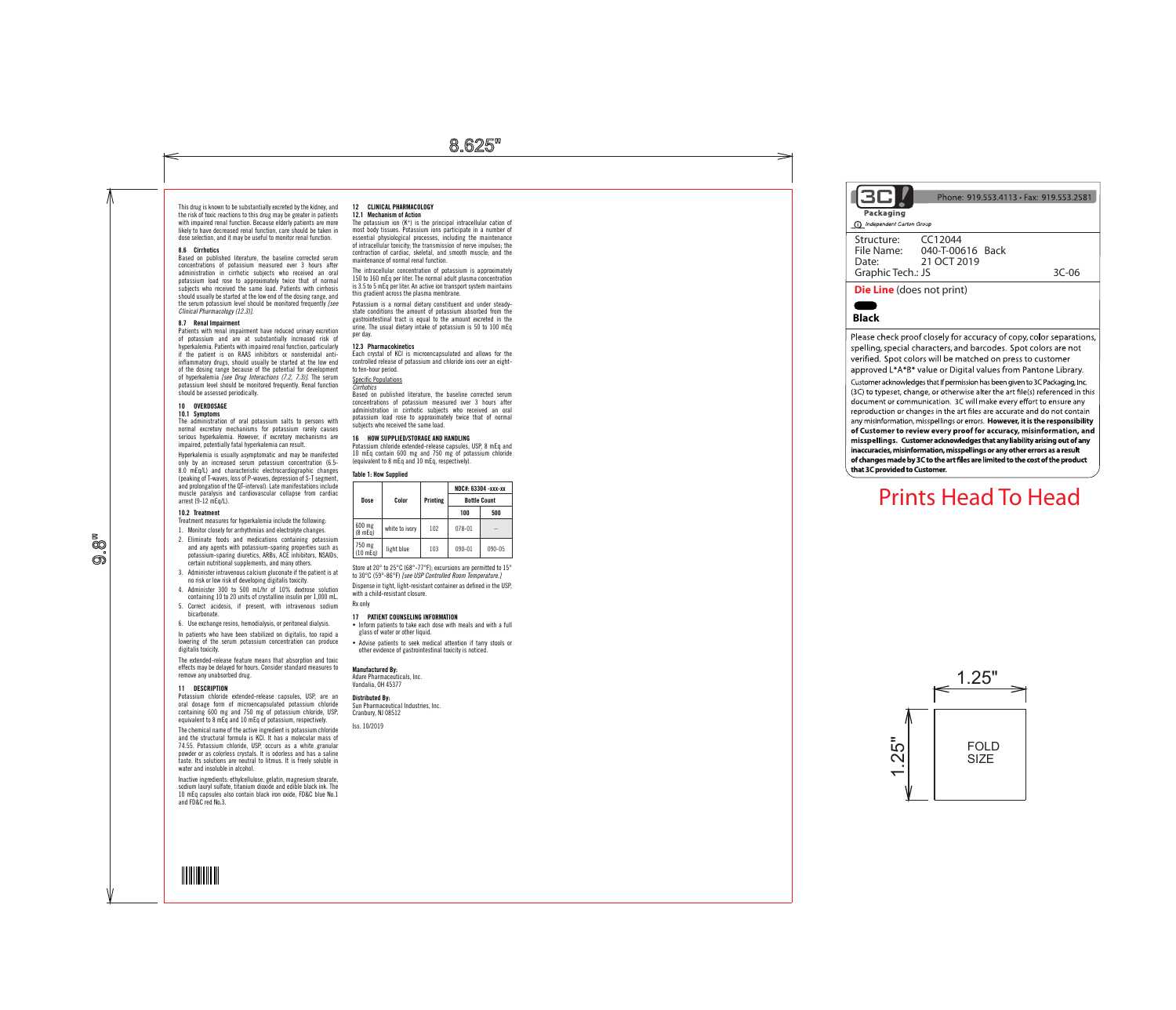8.625"

This drug is known to be substantially excreted by the kidney, and the risk of toxic reactions to this drug may be greater in patients with impaired renal function. Because elderly patients are more likely to have decreased renal function, care should be taken in dose selection, and it may be useful to monitor renal function.

### 8.6 Cirrhotics

Based on published literature, the baseline corrected serum concentrations of potassium measured over 3 hours after administration in cirrhotic subjects who received an oral potassium load rose to approximately twice that of normal subjects who received the same load. Patients with cirrhosis should usually be started at the low end of the dosing range, and the serum potassium level should be monitored frequently *[see Clinical Pharmacology (12.3)]*.

**10 OVERDOSAGE**<br>**10.1 Symptoms**<br>The administration of oral potassium salts to persons with normal excretory mechanisms for potassium rarely causes serious hyperkalemia. However, if excretory mechanisms are impaired, potentially fatal hyperkalemia can result.

### 8.7 Renal Impairment

Patients with renal impairment have reduced urinary excretion of potassium and are at substantially increased risk of hyperkalemia. Patients with impaired renal function, particularly if the patient is on RAAS inhibitors or nonsteroidal anti- $\overline{\phantom{a}}$  atory drugs, should usually be started at the low end of the dosing range because of the potential for development of hyperkalemia *[see Drug Interactions (7.2, 7.3)]*. The serum potassium level should be monitored frequently. Renal function should be assessed periodically.

Hyperkalemia is usually asymptomatic and may be manifested only by an increased serum potassium concentration (6.5- 8.0 mEq/L) and characteristic electrocardiographic changes (peaking of T-waves, loss of P-waves, depression of S-T segment, and prolongation of the QT-interval). Late manifestations include muscle paralysis and cardiovascular collapse from cardiac arrest (9-12 mEq/L).

#### 10.2 Treatment

å<br>So ෩ඁ Treatment measures for hyperkalemia include the following:

- 1. Monitor closely for arrhythmias and electrolyte changes. 2. Eliminate foods and medications containing potassium and any agents with potassium-sparing properties such as potassium-sparing diuretics, ARBs, ACE inhibitors, NSAIDs, certain nutritional supplements, and many others.
- 3. Administer intravenous calcium gluconate if the patient is at no risk or low risk of developing digitalis toxicity. 4. Administer 300 to 500 mL/hr of 10% dextrose solution
- containing 10 to 20 units of crystalline insulin per 1,000 mL. 5. Correct acidosis, if present, with intravenous sodium bicarbonate.
- 6. Use exchange resins, hemodialysis, or peritoneal dialysis.
- In patients who have been stabilized on digitalis, too rapid a

lowering of the serum potassium concentration can produce digitalis toxicity. The extended-release feature means that absorption and toxic effects may be delayed for hours. Consider standard measures to remove any unabsorbed drug.

% Inform patients to take each dose with meals and with a full glass of water or other liquid.

# 11 DESCRIPTION

Potassium chloride extended-release capsules, USP, are an oral dosage form of microencapsulated potassium chloride containing 600 mg and 750 mg of potassium chloride, USP, equivalent to 8 mEq and 10 mEq of potassium, respectively.

The chemical name of the active ingredient is potassium chloride and the structural formula is KCl. It has a molecular mass of 74.55. Potassium chloride, USP, occurs as a white granular powder or as colorless crystals. It is odorless and has a saline taste. Its solutions are neutral to litmus. It is freely soluble in water and insoluble in alcohol.

Inactive ingredients: ethylcellulose, gelatin, magnesium stearate, sodium lauryl sulfate, titanium dioxide and edible black ink. The 10 mEq capsules also contain black iron oxide, FD&C blue No.1 and FD&C red No.3.

# 12 CLINICAL PHARMACOLOGY

12.1 Mechanism of Action The potassium ion (K +) is the principal intracellular cation of most body tissues. Potassium ions participate in a number of essential physiological processes, including the maintenance of intracellular tonicity; the transmission of nerve impulses; the contraction of cardiac, skeletal, and smooth muscle; and the maintenance of normal renal function.

The intracellular concentration of potassium is approximately 150 to 160 mEq per liter. The normal adult plasma concentration is 3.5 to 5 mEq per liter. An active ion transport system maintains this gradient across the plasma membrane.

Potassium is a normal dietary constituent and under steadystate conditions the amount of potassium absorbed from the gastrointestinal tract is equal to the amount excreted in the urine. The usual dietary intake of potassium is 50 to 100 mEq per day.

### 12.3 Pharmacokinetics

Each crystal of KCl is microencapsulated and allows for the controlled release of potassium and chloride ions over an eightto ten-hour period.

# Specific Populations *Cirrhotics*

Based on published literature, the baseline corrected serum concentrations of potassium measured over 3 hours after administration in cirrhotic subjects who received an oral potassium load rose to approximately twice that of normal subjects who received the same load.

## 16 HOW SUPPLIED/STORAGE AND HANDLING

Potassium chloride extended-release capsules, USP, 8 mEq and 10 mEq contain 600 mg and 750 mg of potassium chloride (equivalent to 8 mEq and 10 mEq, respectively).

# Table 1: How Supplied

|                    |                |          | NDC#: 63304 -xxx-xx<br><b>Bottle Count</b> |            |  |
|--------------------|----------------|----------|--------------------------------------------|------------|--|
| Dose               | Color          | Printing |                                            |            |  |
|                    |                |          | 100                                        | 500        |  |
| 600 mg<br>(8 mEq)  | white to ivory | 102      | $078 - 01$                                 |            |  |
| 750 mg<br>(10 mEq) | light blue     | 103      | 090-01                                     | $090 - 05$ |  |

Store at 20° to 25°C (68°-77°F); excursions are permitted to 15° to 30°C (59°-86°F) *[see USP Controlled Room Temperature.]*

Dispense in tight, light-resistant container as defined in the USP,

with a child-resistant closure.

#### Rx only

17 PATIENT COUNSELING INFORMATION

% Advise patients to seek medical attention if tarry stools or other evidence of gastrointestinal toxicity is noticed.

Manufactured By:

Adare Pharmaceuticals, Inc. Vandalia, OH 45377

#### Distributed By:

Sun Pharmaceutical Industries, Inc. Cranbury, NJ 08512 Iss. 10/2019





Phone: 919.553.4113 · Fax: 919.553.2581 Structure: CC12044 File Name: 040-T-00616 Back<br>Date: 21 OCT 2019 21 OCT 2019 Graphic Tech.: JS 3C-06 **Die Line** (does not print) Please check proof closely for accuracy of copy, color separations,



spelling, special characters, and barcodes. Spot colors are not verified. Spot colors will be matched on press to customer approved L\*A\*B\* value or Digital values from Pantone Library. Customer acknowledges that If permission has been given to 3C Packaging, Inc. (3C) to typeset, change, or otherwise alter the art file(s) referenced in this document or communication. 3C will make every effort to ensure any reproduction or changes in the art files are accurate and do not contain any misinformation, misspellings or errors. However, it is the responsibility of Customer to review every proof for accuracy, misinformation, and misspellings. Customer acknowledges that any liability arising out of any inaccuracies, misinformation, misspellings or any other errors as a result of changes made by 3C to the art files are limited to the cost of the product that 3C provided to Customer.

# Prints Head To Head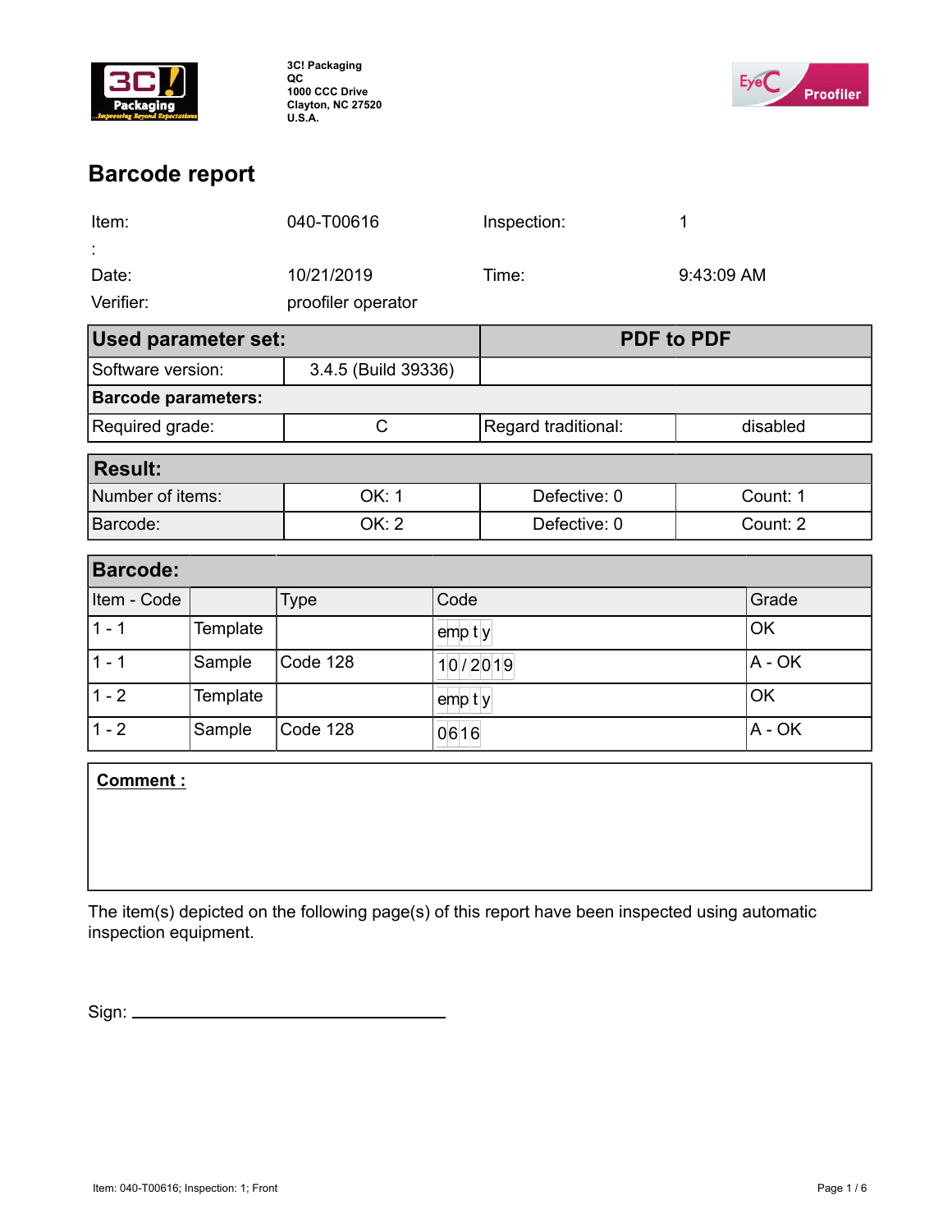

**3C! Packaging QC 1000 CCC Drive Clayton, NC 27520 U.S.A.**



# **Barcode report**

| Item:                         |          | 040-T00616          |                   | Inspection:         |          | 1          |  |  |
|-------------------------------|----------|---------------------|-------------------|---------------------|----------|------------|--|--|
|                               |          |                     |                   |                     |          |            |  |  |
| Date:                         |          | 10/21/2019          |                   | Time:               |          | 9:43:09 AM |  |  |
| Verifier:                     |          | proofiler operator  |                   |                     |          |            |  |  |
| <b>Used parameter set:</b>    |          |                     | <b>PDF to PDF</b> |                     |          |            |  |  |
| Software version:             |          | 3.4.5 (Build 39336) |                   |                     |          |            |  |  |
| <b>Barcode parameters:</b>    |          |                     |                   |                     |          |            |  |  |
| Required grade:               |          | C                   |                   | Regard traditional: |          | disabled   |  |  |
| <b>Result:</b>                |          |                     |                   |                     |          |            |  |  |
| Number of items:              |          | OK: 1               |                   | Defective: 0        |          | Count: 1   |  |  |
| Barcode:                      |          | <b>OK: 2</b>        |                   | Defective: 0        |          | Count: 2   |  |  |
| <b>Barcode:</b>               |          |                     |                   |                     |          |            |  |  |
| Item - Code                   |          | Code<br><b>Type</b> |                   |                     |          | Grade      |  |  |
| $1 - 1$                       | Template |                     | $emp$ ty          |                     | OK       |            |  |  |
| $1 - 1$                       | Sample   | Code 128            |                   |                     | 10/2019  |            |  |  |
| $1 - 2$                       | Template |                     | $emp$ ty          |                     | OK       |            |  |  |
| $1 - 2$<br>Sample<br>Code 128 |          |                     | 0616              |                     | $A - OK$ |            |  |  |
|                               |          |                     |                   |                     |          |            |  |  |

**Comment :**

The item(s) depicted on the following page(s) of this report have been inspected using automatic inspection equipment.

Sign: